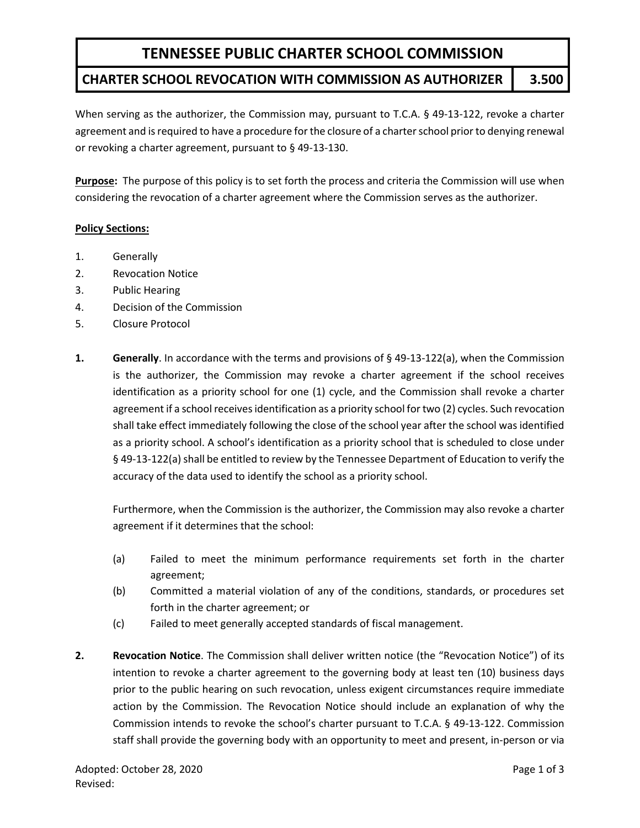## **CHARTER SCHOOL REVOCATION WITH COMMISSION AS AUTHORIZER 3.500**

When serving as the authorizer, the Commission may, pursuant to T.C.A. § 49-13-122, revoke a charter agreement and is required to have a procedure for the closure of a charter school prior to denying renewal or revoking a charter agreement, pursuant to § 49-13-130.

**Purpose:** The purpose of this policy is to set forth the process and criteria the Commission will use when considering the revocation of a charter agreement where the Commission serves as the authorizer.

#### **Policy Sections:**

- 1. Generally
- 2. Revocation Notice
- 3. Public Hearing
- 4. Decision of the Commission
- 5. Closure Protocol
- **1. Generally**. In accordance with the terms and provisions of § 49-13-122(a), when the Commission is the authorizer, the Commission may revoke a charter agreement if the school receives identification as a priority school for one (1) cycle, and the Commission shall revoke a charter agreement if a school receives identification as a priority school fortwo (2) cycles. Such revocation shall take effect immediately following the close of the school year after the school was identified as a priority school. A school's identification as a priority school that is scheduled to close under § 49-13-122(a) shall be entitled to review by the Tennessee Department of Education to verify the accuracy of the data used to identify the school as a priority school.

Furthermore, when the Commission is the authorizer, the Commission may also revoke a charter agreement if it determines that the school:

- (a) Failed to meet the minimum performance requirements set forth in the charter agreement;
- (b) Committed a material violation of any of the conditions, standards, or procedures set forth in the charter agreement; or
- (c) Failed to meet generally accepted standards of fiscal management.
- **2. Revocation Notice**. The Commission shall deliver written notice (the "Revocation Notice") of its intention to revoke a charter agreement to the governing body at least ten (10) business days prior to the public hearing on such revocation, unless exigent circumstances require immediate action by the Commission. The Revocation Notice should include an explanation of why the Commission intends to revoke the school's charter pursuant to T.C.A. § 49-13-122. Commission staff shall provide the governing body with an opportunity to meet and present, in-person or via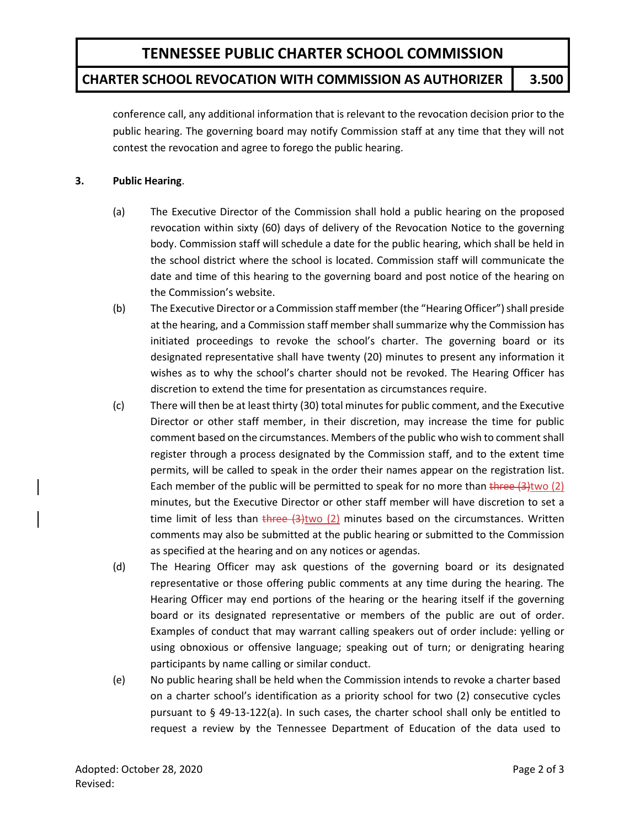## **CHARTER SCHOOL REVOCATION WITH COMMISSION AS AUTHORIZER 3.500**

conference call, any additional information that is relevant to the revocation decision prior to the public hearing. The governing board may notify Commission staff at any time that they will not contest the revocation and agree to forego the public hearing.

#### **3. Public Hearing**.

- (a) The Executive Director of the Commission shall hold a public hearing on the proposed revocation within sixty (60) days of delivery of the Revocation Notice to the governing body. Commission staff will schedule a date for the public hearing, which shall be held in the school district where the school is located. Commission staff will communicate the date and time of this hearing to the governing board and post notice of the hearing on the Commission's website.
- (b) The Executive Director or a Commission staff member (the "Hearing Officer") shall preside at the hearing, and a Commission staff member shall summarize why the Commission has initiated proceedings to revoke the school's charter. The governing board or its designated representative shall have twenty (20) minutes to present any information it wishes as to why the school's charter should not be revoked. The Hearing Officer has discretion to extend the time for presentation as circumstances require.
- (c) There will then be at least thirty (30) total minutes for public comment, and the Executive Director or other staff member, in their discretion, may increase the time for public comment based on the circumstances. Members of the public who wish to comment shall register through a process designated by the Commission staff, and to the extent time permits, will be called to speak in the order their names appear on the registration list. Each member of the public will be permitted to speak for no more than three  $(3)$ two  $(2)$ minutes, but the Executive Director or other staff member will have discretion to set a time limit of less than  $t$  here  $(3)$ two  $(2)$  minutes based on the circumstances. Written comments may also be submitted at the public hearing or submitted to the Commission as specified at the hearing and on any notices or agendas.
- (d) The Hearing Officer may ask questions of the governing board or its designated representative or those offering public comments at any time during the hearing. The Hearing Officer may end portions of the hearing or the hearing itself if the governing board or its designated representative or members of the public are out of order. Examples of conduct that may warrant calling speakers out of order include: yelling or using obnoxious or offensive language; speaking out of turn; or denigrating hearing participants by name calling or similar conduct.
- (e) No public hearing shall be held when the Commission intends to revoke a charter based on a charter school's identification as a priority school for two (2) consecutive cycles pursuant to § 49-13-122(a). In such cases, the charter school shall only be entitled to request a review by the Tennessee Department of Education of the data used to